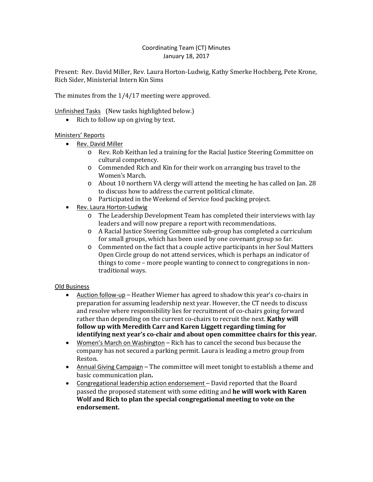# Coordinating Team (CT) Minutes January 18, 2017

Present: Rev. David Miller, Rev. Laura Horton-Ludwig, Kathy Smerke Hochberg, Pete Krone, Rich Sider, Ministerial Intern Kin Sims

The minutes from the 1/4/17 meeting were approved.

Unfinished Tasks (New tasks highlighted below.)

• Rich to follow up on giving by text.

## Ministers' Reports

- Rev. David Miller
	- o Rev. Rob Keithan led a training for the Racial Justice Steering Committee on cultural competency.
	- o Commended Rich and Kin for their work on arranging bus travel to the Women's March.
	- o About 10 northern VA clergy will attend the meeting he has called on Jan. 28 to discuss how to address the current political climate.
	- o Participated in the Weekend of Service food packing project.
- Rev. Laura Horton-Ludwig
	- o The Leadership Development Team has completed their interviews with lay leaders and will now prepare a report with recommendations.
	- o A Racial Justice Steering Committee sub-group has completed a curriculum for small groups, which has been used by one covenant group so far.
	- o Commented on the fact that a couple active participants in her Soul Matters Open Circle group do not attend services, which is perhaps an indicator of things to come – more people wanting to connect to congregations in nontraditional ways.

## Old Business

- Auction follow-up Heather Wiemer has agreed to shadow this year's co-chairs in preparation for assuming leadership next year. However, the CT needs to discuss and resolve where responsibility lies for recruitment of co-chairs going forward rather than depending on the current co-chairs to recruit the next. **Kathy will follow up with Meredith Carr and Karen Liggett regarding timing for identifying next year's co-chair and about open committee chairs for this year.**
- Women's March on Washington Rich has to cancel the second bus because the company has not secured a parking permit. Laura is leading a metro group from Reston.
- Annual Giving Campaign The committee will meet tonight to establish a theme and basic communication plan**.**
- Congregational leadership action endorsement David reported that the Board passed the proposed statement with some editing and **he will work with Karen Wolf and Rich to plan the special congregational meeting to vote on the endorsement.**